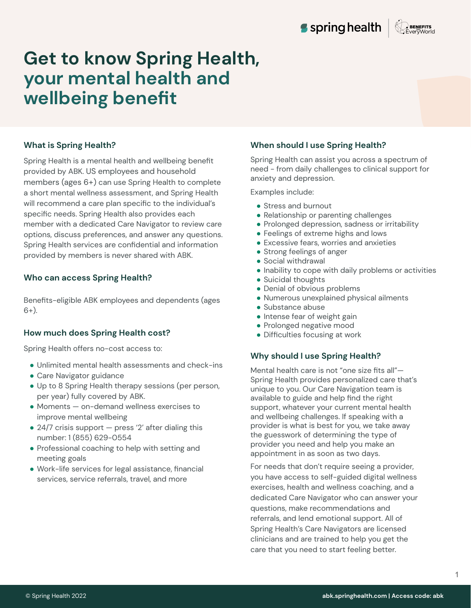

### **What is Spring Health?**

Spring Health is a mental health and wellbeing benefit provided by ABK. US employees and household members (ages  $6+$ ) can use Spring Health to complete a short mental wellness assessment, and Spring Health will recommend a care plan specific to the individual's specific needs. Spring Health also provides each member with a dedicated Care Navigator to review care options, discuss preferences, and answer any questions. Spring Health services are confidential and information provided by members is never shared with ABK.

#### **Who can access Spring Health?**

Benefits-eligible ABK employees and dependents (ages  $6+$ ).

#### **How much does Spring Health cost?**

Spring Health offers no-cost access to:

- Unlimited mental health assessments and check-ins
- Care Navigator guidance
- Up to 8 Spring Health therapy sessions (per person, per year) fully covered by ABK.
- Moments on-demand wellness exercises to improve mental wellbeing
- $\bullet$  24/7 crisis support press '2' after dialing this number: 1 (855) 629-0554
- Professional coaching to help with setting and meeting goals
- Work-life services for legal assistance, financial services, service referrals, travel, and more

#### **When should I use Spring Health?**

Spring Health can assist you across a spectrum of need - from daily challenges to clinical support for anxiety and depression.

Examples include:

- Stress and burnout
- Relationship or parenting challenges
- Prolonged depression, sadness or irritability
- Feelings of extreme highs and lows
- Excessive fears, worries and anxieties
- Strong feelings of anger
- Social withdrawal
- Inability to cope with daily problems or activities
- Suicidal thoughts
- Denial of obvious problems
- Numerous unexplained physical ailments
- Substance abuse
- Intense fear of weight gain
- Prolonged negative mood
- Difficulties focusing at work

#### **Why should I use Spring Health?**

Mental health care is not "one size fits all"— Spring Health provides personalized care that's unique to you. Our Care Navigation team is available to guide and help find the right support, whatever your current mental health and wellbeing challenges. If speaking with a provider is what is best for you, we take away the guesswork of determining the type of provider you need and help you make an appointment in as soon as two days.

For needs that don't require seeing a provider, you have access to self-guided digital wellness exercises, health and wellness coaching, and a dedicated Care Navigator who can answer your questions, make recommendations and referrals, and lend emotional support. All of Spring Health's Care Navigators are licensed clinicians and are trained to help you get the care that you need to start feeling better.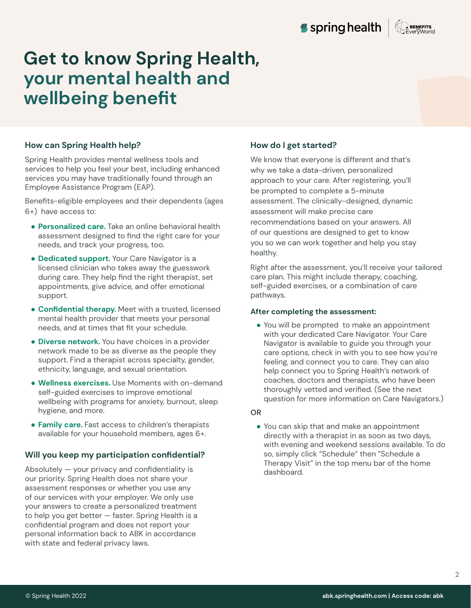# **How can Spring Health help?**

Spring Health provides mental wellness tools and services to help you feel your best, including enhanced services you may have traditionally found through an Employee Assistance Program (EAP).

Benefits-eligible employees and their dependents (ages ý+) have access to:

- **● Personalized care.** Take an online behavioral health assessment designed to find the right care for your needs, and track your progress, too.
- **● Dedicated support.** Your Care Navigator is a licensed clinician who takes away the guesswork during care. They help find the right therapist, set appointments, give advice, and offer emotional support.
- **● Confidential therapy.** Meet with a trusted, licensed mental health provider that meets your personal needs, and at times that fit your schedule.
- **● Diverse network.** You have choices in a provider network made to be as diverse as the people they support. Find a therapist across specialty, gender, ethnicity, language, and sexual orientation.
- **● Wellness exercises.** Use Moments with on-demand self-guided exercises to improve emotional wellbeing with programs for anxiety, burnout, sleep hygiene, and more.
- **● Family care.** Fast access to children's therapists available for your household members, ages 6+.

### **Will you keep my participation confidential?**

Absolutely — your privacy and confidentiality is our priority. Spring Health does not share your assessment responses or whether you use any of our services with your employer. We only use your answers to create a personalized treatment to help you get better — faster. Spring Health is a confidential program and does not report your personal information back to ABK in accordance with state and federal privacy laws.

### **How do I get started?**

We know that everyone is different and that's why we take a data-driven, personalized approach to your care. After registering, you'll be prompted to complete a 5-minute assessment. The clinically-designed, dynamic assessment will make precise care recommendations based on your answers. All of our questions are designed to get to know you so we can work together and help you stay healthy.

Right after the assessment, you'll receive your tailored care plan. This might include therapy, coaching, self-guided exercises, or a combination of care pathways.

#### **After completing the assessment:**

● You will be prompted to make an appointment with your dedicated Care Navigator. Your Care Navigator is available to guide you through your care options, check in with you to see how you're feeling, and connect you to care. They can also help connect you to Spring Health's network of coaches, doctors and therapists, who have been thoroughly vetted and verified. (See the next question for more information on Care Navigators.)

#### **OR**

● You can skip that and make an appointment directly with a therapist in as soon as two days, with evening and weekend sessions available. To do so, simply click "Schedule" then "Schedule a Therapy Visit" in the top menu bar of the home dashboard.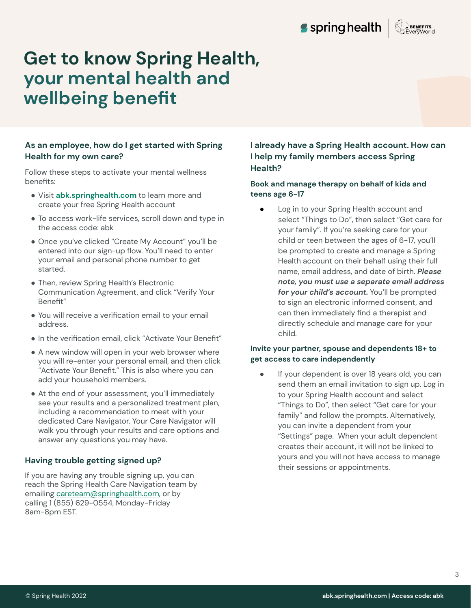

# **As an employee, how do I get started with Spring Health for my own care?**

Follow these steps to activate your mental wellness benefits:

- **●** Visit **abk.springhealth.com** to learn more and create your free Spring Health account
- To access work-life services, scroll down and type in the access code: abk
- Once you've clicked "Create My Account" you'll be entered into our sign-up flow. You'll need to enter your email and personal phone number to get started.
- Then, review Spring Health's Electronic Communication Agreement, and click "Verify Your Benefit"
- You will receive a verification email to your email address.
- In the verification email, click "Activate Your Benefit"
- A new window will open in your web browser where you will re-enter your personal email, and then click "Activate Your Benefit." This is also where you can add your household members.
- At the end of your assessment, you'll immediately see your results and a personalized treatment plan, including a recommendation to meet with your dedicated Care Navigator. Your Care Navigator will walk you through your results and care options and answer any questions you may have.

# **Having trouble getting signed up?**

If you are having any trouble signing up, you can reach the Spring Health Care Navigation team by emailing [careteam@springhealth.com,](mailto:careteam@springhealth.com) or by calling 1 (855) 629-0554, Monday-Friday 8am-8pm EST.

### **I already have a Spring Health account. How can I help my family members access Spring Health?**

### **Book and manage therapy on behalf of kids and**  teens age 6-17

● Log in to your Spring Health account and select "Things to Do", then select "Get care for your family". If you're seeking care for your child or teen between the ages of 6-17, you'll be prompted to create and manage a Spring Health account on their behalf using their full name, email address, and date of birth. *Please note, you must use a separate email address for your child's account.* You'll be prompted to sign an electronic informed consent, and can then immediately find a therapist and directly schedule and manage care for your child.

#### Invite your partner, spouse and dependents 18+ to **get access to care independently**

**•** If your dependent is over 18 years old, you can send them an email invitation to sign up. Log in to your Spring Health account and select "Things to Do", then select "Get care for your family" and follow the prompts. Alternatively, you can invite a dependent from your "Settings" page. When your adult dependent creates their account, it will not be linked to yours and you will not have access to manage their sessions or appointments.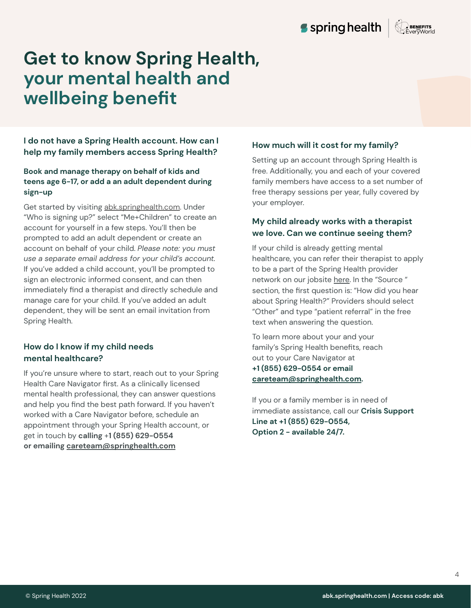**I do not have a Spring Health account. How can I help my family members access Spring Health?** 

# **Book and manage therapy on behalf of kids and**  teens age 6-17, or add a an adult dependent during **sign-up**

Get started by visiting [abk.springhealth.com.](http://abk.springhealth.com) Under "Who is signing up?" select "Me+Children" to create an account for yourself in a few steps. You'll then be prompted to add an adult dependent or create an account on behalf of your child. *Please note: you must use a separate email address for your child's account.*  If you've added a child account, you'll be prompted to sign an electronic informed consent, and can then immediately find a therapist and directly schedule and manage care for your child. If you've added an adult dependent, they will be sent an email invitation from Spring Health.

# **How do I know if my child needs mental healthcare?**

If you're unsure where to start, reach out to your Spring Health Care Navigator first. As a clinically licensed mental health professional, they can answer questions and help you find the best path forward. If you haven't worked with a Care Navigator before, schedule an appointment through your Spring Health account, or get in touch by calling +1 (855) 629-0554 **or emailing [careteam@springhealth.com](mailto:careteam@springhealth.com)**

# **How much will it cost for my family?**

Setting up an account through Spring Health is free. Additionally, you and each of your covered family members have access to a set number of free therapy sessions per year, fully covered by your employer.

# **My child already works with a therapist we love. Can we continue seeing them?**

If your child is already getting mental healthcare, you can refer their therapist to apply to be a part of the Spring Health provider network on our jobsite [here](https://jobs.lever.co/springhealth/a53657a2-34a3-4d27-b7be-2eb838dd99d6). In the "Source " section, the first question is: "How did you hear about Spring Health?" Providers should select "Other" and type "patient referral" in the free text when answering the question.

To learn more about your and your family's Spring Health benefits, reach out to your Care Navigator at **+1 (ÿüü) ý2Ā-0üüû or email [careteam@springhealth.com.](mailto:careteam@springhealth.com)** 

If you or a family member is in need of immediate assistance, call our **Crisis Support**  Line at +1 (855) 629-0554, Option 2 - available 24/7.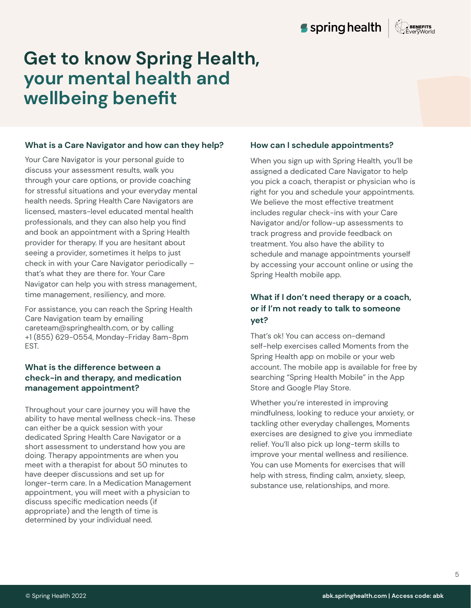#### **What is a Care Navigator and how can they help?**

Your Care Navigator is your personal guide to discuss your assessment results, walk you through your care options, or provide coaching for stressful situations and your everyday mental health needs. Spring Health Care Navigators are licensed, masters-level educated mental health professionals, and they can also help you find and book an appointment with a Spring Health provider for therapy. If you are hesitant about seeing a provider, sometimes it helps to just check in with your Care Navigator periodically – that's what they are there for. Your Care Navigator can help you with stress management, time management, resiliency, and more.

For assistance, you can reach the Spring Health Care Navigation team by emailing careteam@springhealth.com, or by calling +1 (855) 629-0554, Monday-Friday 8am-8pm EST.

### **What is the difference between a check-in and therapy, and medication management appointment?**

Throughout your care journey you will have the ability to have mental wellness check-ins. These can either be a quick session with your dedicated Spring Health Care Navigator or a short assessment to understand how you are doing. Therapy appointments are when you meet with a therapist for about 50 minutes to have deeper discussions and set up for longer-term care. In a Medication Management appointment, you will meet with a physician to discuss specific medication needs (if appropriate) and the length of time is determined by your individual need.

#### **How can I schedule appointments?**

When you sign up with Spring Health, you'll be assigned a dedicated Care Navigator to help you pick a coach, therapist or physician who is right for you and schedule your appointments. We believe the most effective treatment includes regular check-ins with your Care Navigator and/or follow-up assessments to track progress and provide feedback on treatment. You also have the ability to schedule and manage appointments yourself by accessing your account online or using the Spring Health mobile app.

# **What if I don't need therapy or a coach, or if I'm not ready to talk to someone yet?**

That's ok! You can access on-demand self-help exercises called Moments from the Spring Health app on mobile or your web account. The mobile app is available for free by searching "Spring Health Mobile" in the App Store and Google Play Store.

Whether you're interested in improving mindfulness, looking to reduce your anxiety, or tackling other everyday challenges, Moments exercises are designed to give you immediate relief. You'll also pick up long-term skills to improve your mental wellness and resilience. You can use Moments for exercises that will help with stress, finding calm, anxiety, sleep, substance use, relationships, and more.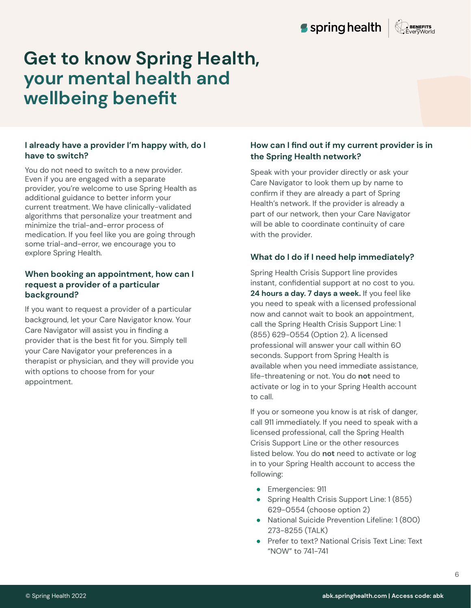

### **I already have a provider I'm happy with, do I have to switch?**

You do not need to switch to a new provider. Even if you are engaged with a separate provider, you're welcome to use Spring Health as additional guidance to better inform your current treatment. We have clinically-validated algorithms that personalize your treatment and minimize the trial-and-error process of medication. If you feel like you are going through some trial-and-error, we encourage you to explore Spring Health.

### **When booking an appointment, how can I request a provider of a particular background?**

If you want to request a provider of a particular background, let your Care Navigator know. Your Care Navigator will assist you in finding a provider that is the best fit for you. Simply tell your Care Navigator your preferences in a therapist or physician, and they will provide you with options to choose from for your appointment.

# **How can I find out if my current provider is in the Spring Health network?**

Speak with your provider directly or ask your Care Navigator to look them up by name to confirm if they are already a part of Spring Health's network. If the provider is already a part of our network, then your Care Navigator will be able to coordinate continuity of care with the provider.

# **What do I do if I need help immediately?**

Spring Health Crisis Support line provides instant, confidential support at no cost to you. 24 hours a day. 7 days a week. If you feel like you need to speak with a licensed professional now and cannot wait to book an appointment, call the Spring Health Crisis Support Line: 1 (855) 629-0554 (Option 2). A licensed professional will answer your call within 60 seconds. Support from Spring Health is available when you need immediate assistance, life-threatening or not. You do **not** need to activate or log in to your Spring Health account to call.

If you or someone you know is at risk of danger, call 911 immediately. If you need to speak with a licensed professional, call the Spring Health Crisis Support Line or the other resources listed below. You do **not** need to activate or log in to your Spring Health account to access the following:

- Emergencies: 911
- Spring Health Crisis Support Line: 1 (855)  $629-0554$  (choose option 2)
- National Suicide Prevention Lifeline: 1 (800) 273-8255 (TALK)
- Prefer to text? National Crisis Text Line: Text "NOW" to 741-741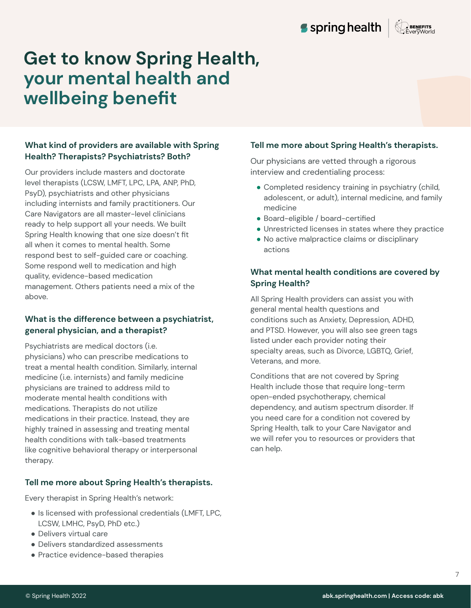# **What kind of providers are available with Spring Health? Therapists? Psychiatrists? Both?**

Our providers include masters and doctorate level therapists (LCSW, LMFT, LPC, LPA, ANP, PhD, PsyD), psychiatrists and other physicians including internists and family practitioners. Our Care Navigators are all master-level clinicians ready to help support all your needs. We built Spring Health knowing that one size doesn't fit all when it comes to mental health. Some respond best to self-guided care or coaching. Some respond well to medication and high quality, evidence-based medication management. Others patients need a mix of the above.

# **What is the difference between a psychiatrist, general physician, and a therapist?**

Psychiatrists are medical doctors (i.e. physicians) who can prescribe medications to treat a mental health condition. Similarly, internal medicine (i.e. internists) and family medicine physicians are trained to address mild to moderate mental health conditions with medications. Therapists do not utilize medications in their practice. Instead, they are highly trained in assessing and treating mental health conditions with talk-based treatments like cognitive behavioral therapy or interpersonal therapy.

### **Tell me more about Spring Health's therapists.**

Every therapist in Spring Health's network:

- Is licensed with professional credentials (LMFT, LPC, LCSW, LMHC, PsyD, PhD etc.)
- Delivers virtual care
- Delivers standardized assessments
- Practice evidence-based therapies

### **Tell me more about Spring Health's therapists.**

Our physicians are vetted through a rigorous interview and credentialing process:

- Completed residency training in psychiatry (child, adolescent, or adult), internal medicine, and family medicine
- Board-eligible / board-certified
- Unrestricted licenses in states where they practice
- No active malpractice claims or disciplinary actions

# **What mental health conditions are covered by Spring Health?**

All Spring Health providers can assist you with general mental health questions and conditions such as Anxiety, Depression, ADHD, and PTSD. However, you will also see green tags listed under each provider noting their specialty areas, such as Divorce, LGBTQ, Grief, Veterans, and more.

Conditions that are not covered by Spring Health include those that require long-term open-ended psychotherapy, chemical dependency, and autism spectrum disorder. If you need care for a condition not covered by Spring Health, talk to your Care Navigator and we will refer you to resources or providers that can help.

 $\overline{7}$